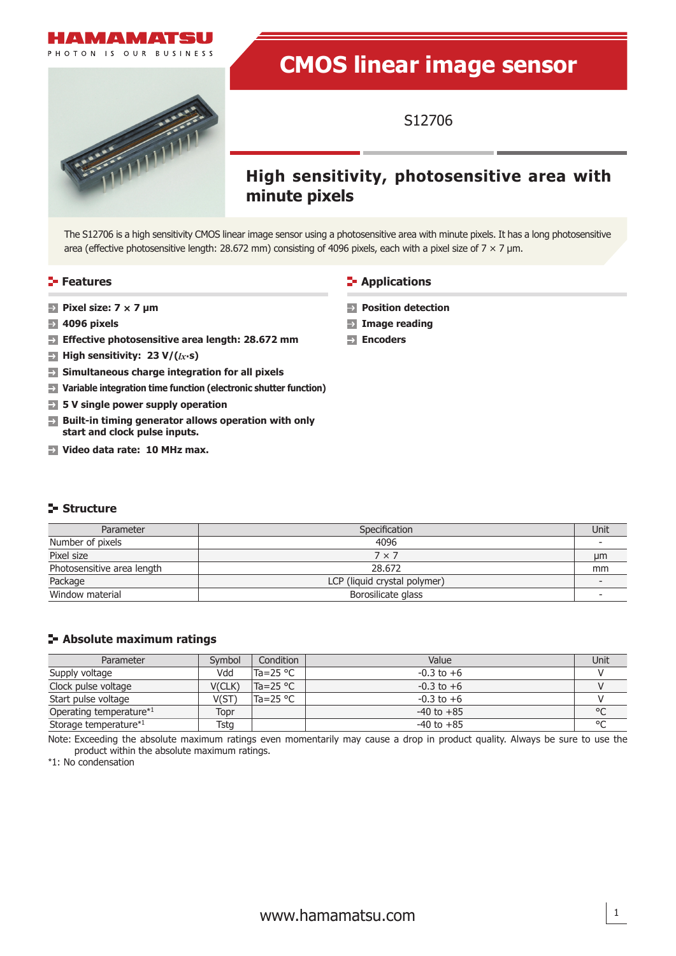# VIA MATSU

PHOTON IS OUR BUSINESS

# **CMOS linear image sensor**



# S12706

# **High sensitivity, photosensitive area with minute pixels**

The S12706 is a high sensitivity CMOS linear image sensor using a photosensitive area with minute pixels. It has a long photosensitive area (effective photosensitive length: 28.672 mm) consisting of 4096 pixels, each with a pixel size of 7  $\times$  7 µm.

- **Pixel size: 7 × 7 μm**
- **4096 pixels**
- **Effective photosensitive area length: 28.672 mm**
- **High sensitivity: 23 V/(***lx***·s)**  $\rightarrow$
- **Simultaneous charge integration for all pixels**  $\rightarrow$
- **Variable integration time function (electronic shutter function)**
- **5 V single power supply operation**
- **Built-in timing generator allows operation with only start and clock pulse inputs.**
- **Video data rate: 10 MHz max.**

# **Structure**

| Parameter                  | Specification                |    |  |  |
|----------------------------|------------------------------|----|--|--|
| Number of pixels           | 4096                         |    |  |  |
| Pixel size                 | $7 \times 7$                 | µm |  |  |
| Photosensitive area length | 28.672                       | mm |  |  |
| Package                    | LCP (liquid crystal polymer) |    |  |  |
| Window material            | Borosilicate glass           |    |  |  |

# **Absolute maximum ratings**

| Parameter                           | Symbol | Condition          | Value          | Unit   |
|-------------------------------------|--------|--------------------|----------------|--------|
| Supply voltage                      | Vdd    | Ta=25 $^{\circ}$ C | $-0.3$ to $+6$ |        |
| Clock pulse voltage                 | V(CLK) | $Ta = 25 °C$       | $-0.3$ to $+6$ |        |
| Start pulse voltage                 | V(ST)  | Ta=25 $\degree$ C  | $-0.3$ to $+6$ |        |
| Operating temperature <sup>*1</sup> | Topr   |                    | $-40$ to $+85$ | °C     |
| Storage temperature*1               | Tstg   |                    | $-40$ to $+85$ | $\sim$ |

Note: Exceeding the absolute maximum ratings even momentarily may cause a drop in product quality. Always be sure to use the product within the absolute maximum ratings.

\*1: No condensation

# **Features Applications Applications**

- **Position detection**
- **Image reading**
- **Encoders**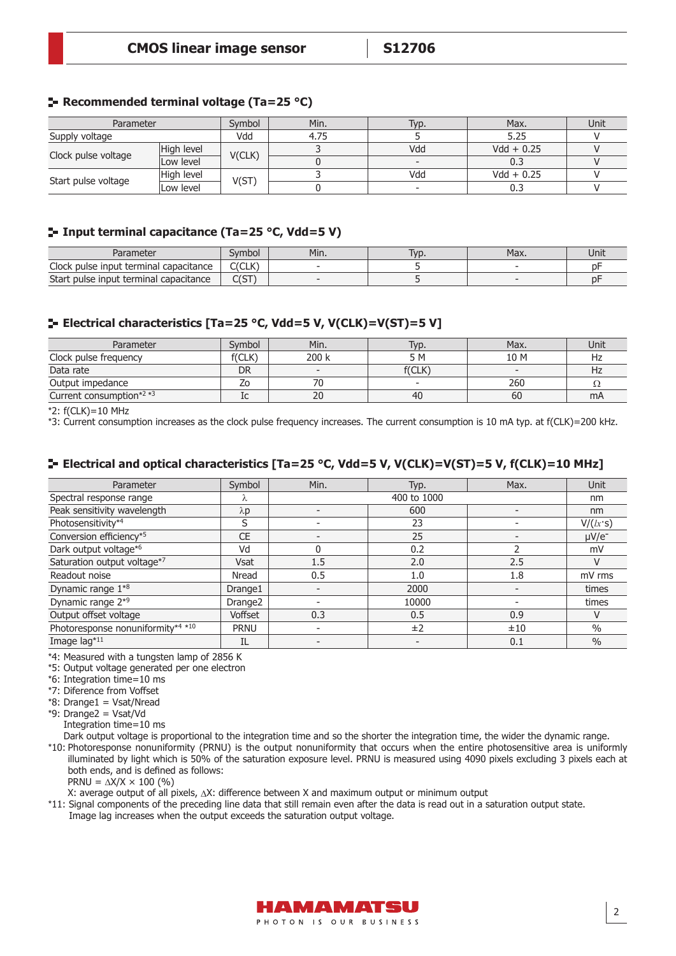# **Recommended terminal voltage (Ta=25 °C)**

| Parameter           |            | Svmbol | Min. | Typ. | Max.         | Unit |
|---------------------|------------|--------|------|------|--------------|------|
| Supply voltage      |            | Vdd    | 4.75 |      | 5.25         |      |
| Clock pulse voltage | High level | V(CLK) |      | Vdd  | $Vdd + 0.25$ |      |
|                     | Low level  |        |      |      | 0.3          |      |
|                     | High level | V(ST   |      | Vdd  | $Vdd + 0.25$ |      |
| Start pulse voltage | Low level  |        |      |      |              |      |

# **Input terminal capacitance (Ta=25 °C, Vdd=5 V)**

| Parameter                                   | Svmbol   | Min. | Typ. | Max. | Unit        |
|---------------------------------------------|----------|------|------|------|-------------|
| Clock pulse input terminal capacitance      | C(CLK)   |      |      |      | n-          |
| Start<br>: pulse input terminal capacitance | CCT<br>ິ |      |      |      | $n_{\rm h}$ |

# **Electrical characteristics [Ta=25 °C, Vdd=5 V, V(CLK)=V(ST)=5 V]**

| Parameter                  | Svmbol | Min.  | Typ.                     | Max.                     | Unit |
|----------------------------|--------|-------|--------------------------|--------------------------|------|
| Clock pulse frequency      | f(CLK) | 200 k | 5 M                      | 10 M                     | Hz   |
| Data rate                  | DR     |       | f(CLK)                   | $\overline{\phantom{0}}$ | Hz   |
| Output impedance           | ۷O     | 70    | $\overline{\phantom{a}}$ | 260                      |      |
| Current consumption* $2*3$ | Iс     | 20    | 40                       | 60                       | mA   |

\*2: f(CLK)=10 MHz

\*3: Current consumption increases as the clock pulse frequency increases. The current consumption is 10 mA typ. at f(CLK)=200 kHz.

#### **E** Electrical and optical characteristics [Ta=25 °C, Vdd=5 V, V(CLK)=V(ST)=5 V, f(CLK)=10 MHz]

| Parameter                         | Symbol              | Min. | Typ.        | Max. | Unit             |
|-----------------------------------|---------------------|------|-------------|------|------------------|
| Spectral response range           | Λ                   |      | 400 to 1000 |      | nm               |
| Peak sensitivity wavelength       | $\lambda$ p         |      | 600         |      | nm               |
| Photosensitivity*4                | S                   |      | 23          |      | $V/(lx \cdot s)$ |
| Conversion efficiency*5           | <b>CE</b>           |      | 25          |      | $\mu V/e^-$      |
| Dark output voltage*6             | Vd                  |      | 0.2         |      | mV               |
| Saturation output voltage*7       | <b>Vsat</b>         | 1.5  | 2.0         | 2.5  |                  |
| Readout noise                     | Nread               | 0.5  | 1.0         | 1.8  | mV rms           |
| Dynamic range 1 <sup>*8</sup>     | Drange1             |      | 2000        |      | times            |
| Dynamic range 2 <sup>*9</sup>     | Drange <sub>2</sub> |      | 10000       |      | times            |
| Output offset voltage             | Voffset             | 0.3  | 0.5         | 0.9  |                  |
| Photoresponse nonuniformity*4 *10 | <b>PRNU</b>         |      | ±2          | ±10  | $\frac{0}{0}$    |
| Image lag*11                      | IL                  |      |             | 0.1  | $\frac{0}{0}$    |

\*4: Measured with a tungsten lamp of 2856 K

\*5: Output voltage generated per one electron

\*6: Integration time=10 ms

\*7: Diference from Voffset

\*8: Drange1 = Vsat/Nread

\*9: Drange2 = Vsat/Vd Integration time=10 ms

Dark output voltage is proportional to the integration time and so the shorter the integration time, the wider the dynamic range. \*10: Photoresponse nonuniformity (PRNU) is the output nonuniformity that occurs when the entire photosensitive area is uniformly illuminated by light which is 50% of the saturation exposure level. PRNU is measured using 4090 pixels excluding 3 pixels each at both ends, and is defined as follows: PRNU =  $\Delta$ X/X  $\times$  100 (%)

X: average output of all pixels,  $\Delta X$ : difference between X and maximum output or minimum output

\*11: Signal components of the preceding line data that still remain even after the data is read out in a saturation output state. Image lag increases when the output exceeds the saturation output voltage.

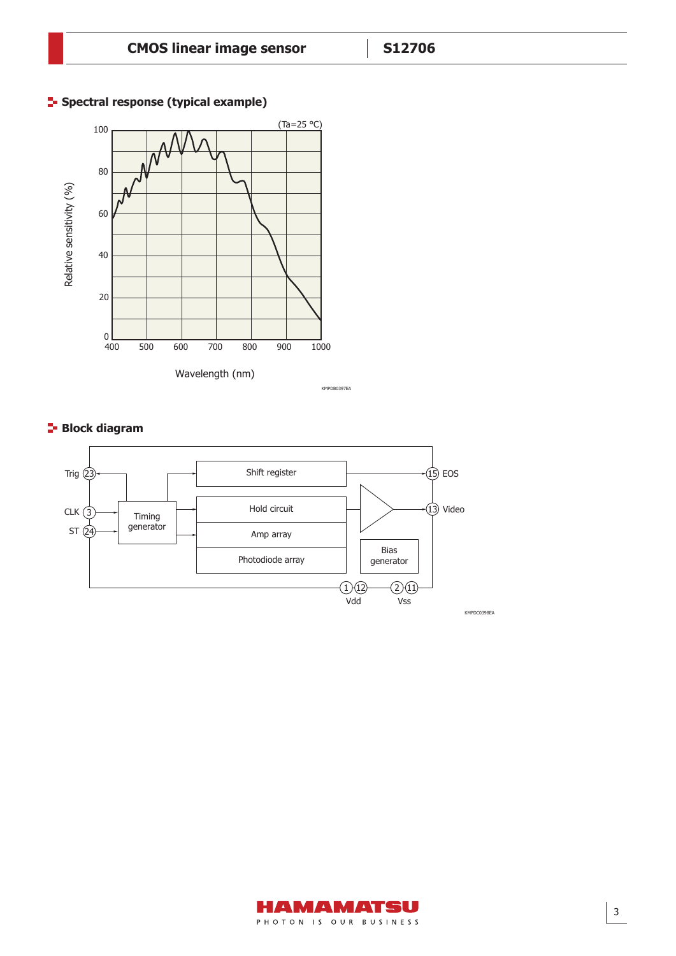

# **F** Spectral response (typical example)

KMPDB0397EA

# **Block diagram**



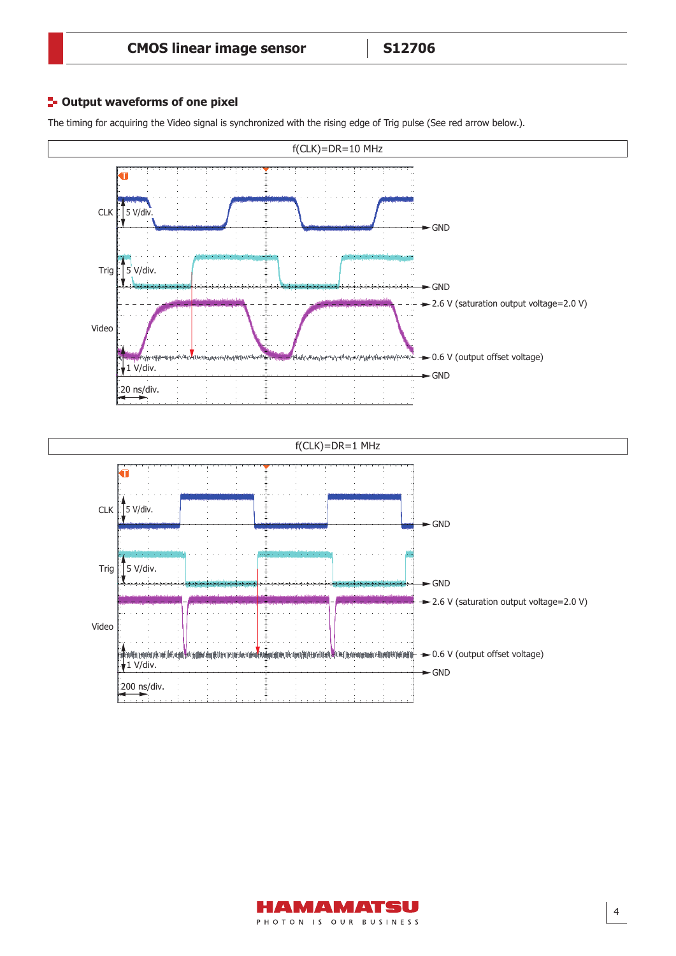# **<sup>1</sup>** Output waveforms of one pixel

The timing for acquiring the Video signal is synchronized with the rising edge of Trig pulse (See red arrow below.).



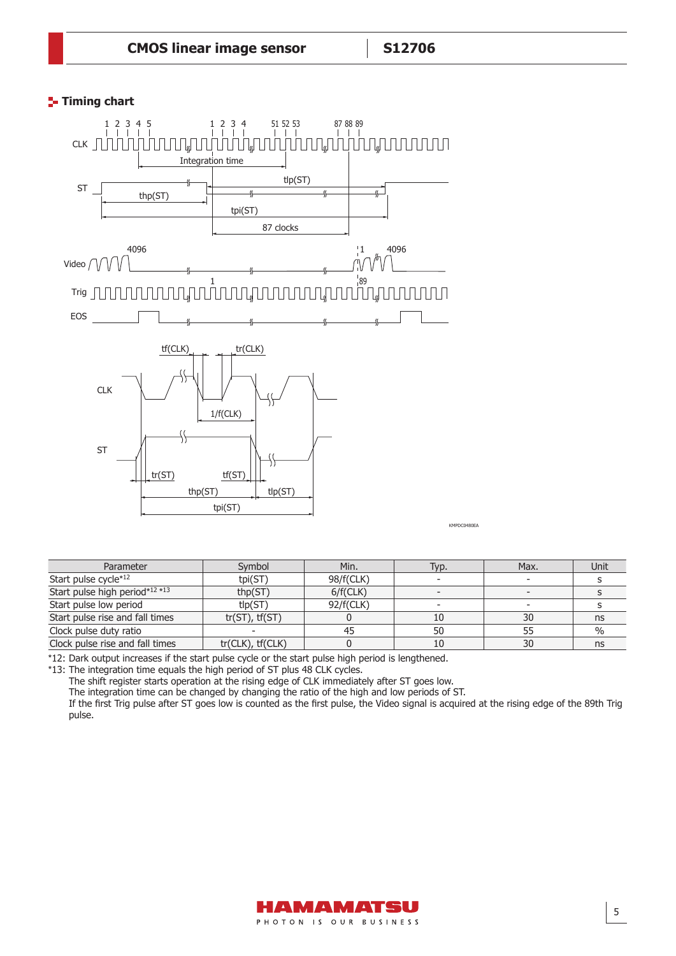# **Timing chart**



KMPDC0480EA

| Parameter                       | Symbol              | Min.      | Typ.                     | Max. | Unit |
|---------------------------------|---------------------|-----------|--------------------------|------|------|
| Start pulse cycle*12            | tpi(ST)             | 98/f(CLK) |                          |      |      |
| Start pulse high period*12 *13  | thp(ST)             | 6/f(CLK)  |                          |      |      |
| Start pulse low period          | t p(ST)             | 92/f(CLK) | $\overline{\phantom{a}}$ |      |      |
| Start pulse rise and fall times | $tr(ST)$ , $tf(ST)$ |           | 10                       | 30   | ns   |
| Clock pulse duty ratio          |                     |           | 50                       | 55   | $\%$ |
| Clock pulse rise and fall times | tr(CLK), tf(CLK)    |           | 10                       | 30   | ns   |

\*12: Dark output increases if the start pulse cycle or the start pulse high period is lengthened.

\*13: The integration time equals the high period of ST plus 48 CLK cycles.

The shift register starts operation at the rising edge of CLK immediately after ST goes low.

The integration time can be changed by changing the ratio of the high and low periods of ST.

If the first Trig pulse after ST goes low is counted as the first pulse, the Video signal is acquired at the rising edge of the 89th Trig pulse.

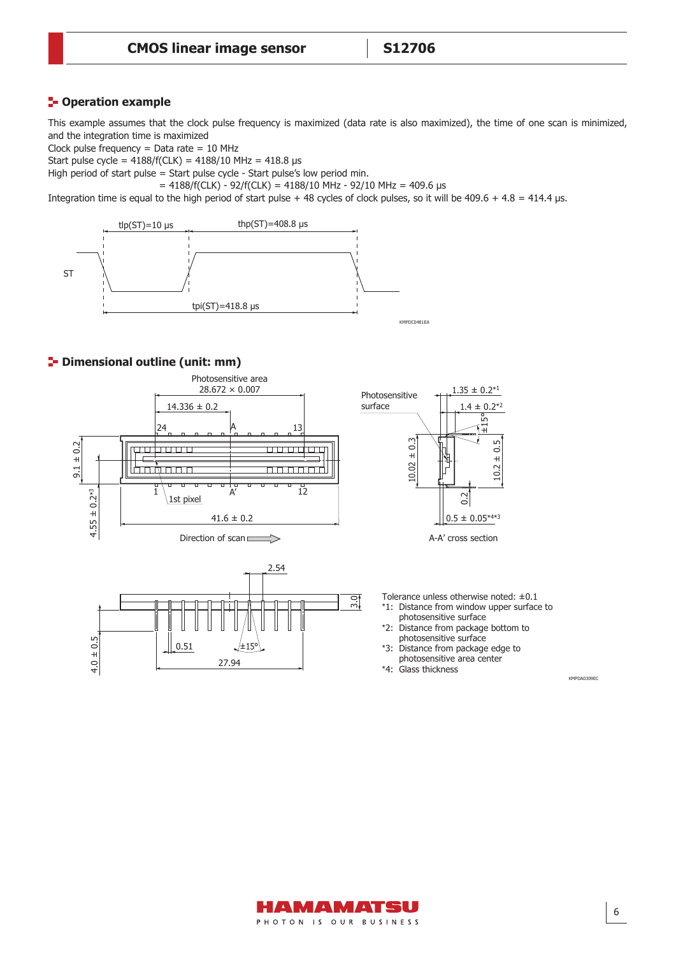# **Poperation example**

This example assumes that the clock pulse frequency is maximized (data rate is also maximized), the time of one scan is minimized, and the integration time is maximized

Clock pulse frequency  $=$  Data rate  $= 10$  MHz

Start pulse cycle =  $4188/f(CLK) = 4188/10 MHz = 418.8 \text{ }\mu\text{s}$ 

High period of start pulse = Start pulse cycle - Start pulse's low period min.

 $= 4188/f(CLK) - 92/f(CLK) = 4188/10 MHz - 92/10 MHz = 409.6 \text{ }\mu\text{s}$ 

Integration time is equal to the high period of start pulse + 48 cycles of clock pulses, so it will be  $409.6 + 4.8 = 414.4$  µs.



# **P** Dimensional outline (unit: mm)







Tolerance unless otherwise noted: ±0.1

- \*1: Distance from window upper surface to photosensitive surface
- \*2: Distance from package bottom to photosensitive surface
- \*3: Distance from package edge to photosensitive area center

\*4: Glass thickness

KMPDA0309EC

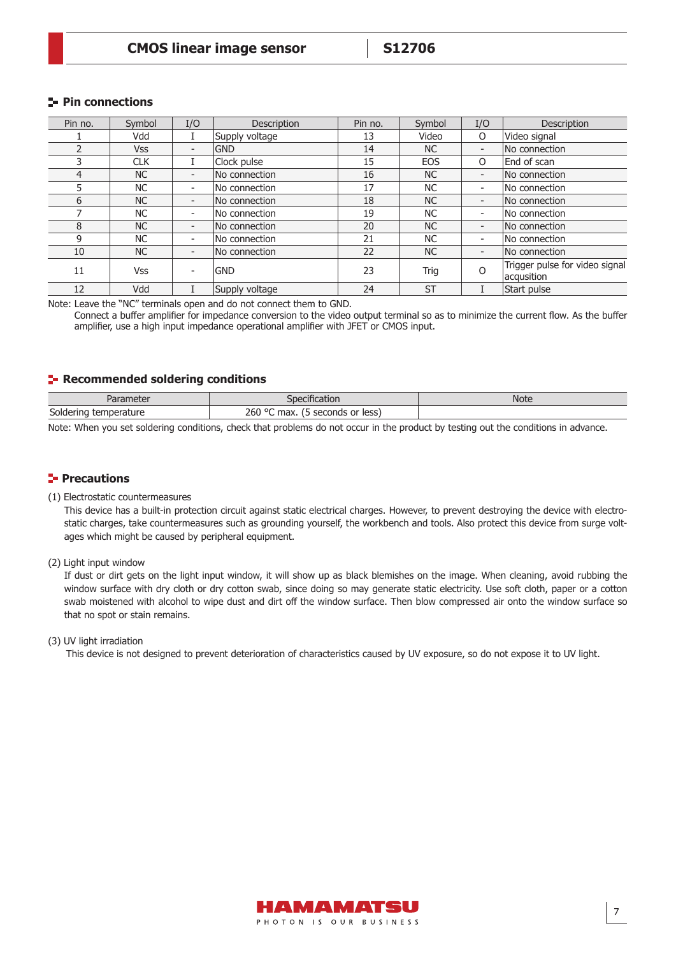# **Pin connections**

| Pin no. | Symbol     | I/O                      | Description    | Pin no. | Symbol     | I/O | Description                                  |
|---------|------------|--------------------------|----------------|---------|------------|-----|----------------------------------------------|
|         | Vdd        |                          | Supply voltage | 13      | Video      | O   | Video signal                                 |
|         | <b>Vss</b> | $\overline{\phantom{0}}$ | <b>GND</b>     | 14      | NC         | ۰.  | No connection                                |
|         | <b>CLK</b> |                          | Clock pulse    | 15      | <b>EOS</b> | O   | End of scan                                  |
| 4       | <b>NC</b>  | $\overline{\phantom{a}}$ | No connection  | 16      | NC         | ۰.  | No connection                                |
| 5       | NC.        | $\overline{\phantom{a}}$ | No connection  | 17      | <b>NC</b>  | Ξ.  | No connection                                |
| 6       | <b>NC</b>  | $\overline{\phantom{0}}$ | No connection  | 18      | NC         | -   | No connection                                |
|         | NC.        | $\overline{\phantom{a}}$ | No connection  | 19      | NC.        | Ξ.  | No connection                                |
| 8       | <b>NC</b>  | $\overline{\phantom{0}}$ | No connection  | 20      | NC         | ۰.  | No connection                                |
| 9       | NC.        | $\overline{\phantom{a}}$ | No connection  | 21      | NC.        | Ξ.  | No connection                                |
| 10      | <b>NC</b>  | $\overline{\phantom{a}}$ | No connection  | 22      | NC         | ۰.  | No connection                                |
| 11      | <b>Vss</b> | $\overline{\phantom{a}}$ | <b>GND</b>     | 23      | Trig       | O   | Trigger pulse for video signal<br>acqusition |
| 12      | Vdd        |                          | Supply voltage | 24      | <b>ST</b>  |     | Start pulse                                  |

Note: Leave the "NC" terminals open and do not connect them to GND.

Connect a buffer amplifier for impedance conversion to the video output terminal so as to minimize the current flow. As the buffer amplifier, use a high input impedance operational amplifier with JFET or CMOS input.

# **Recommended soldering conditions**

| IINMOM<br>aramete.         | Jilication                                          | Note |
|----------------------------|-----------------------------------------------------|------|
| Soldering<br>rature<br>nne | 260 °C<br>less<br>cocondi<br>or<br>max.<br>Lunas nr |      |

Note: When you set soldering conditions, check that problems do not occur in the product by testing out the conditions in advance.

# **Precautions**

#### (1) Electrostatic countermeasures

This device has a built-in protection circuit against static electrical charges. However, to prevent destroying the device with electrostatic charges, take countermeasures such as grounding yourself, the workbench and tools. Also protect this device from surge voltages which might be caused by peripheral equipment.

(2) Light input window

If dust or dirt gets on the light input window, it will show up as black blemishes on the image. When cleaning, avoid rubbing the window surface with dry cloth or dry cotton swab, since doing so may generate static electricity. Use soft cloth, paper or a cotton swab moistened with alcohol to wipe dust and dirt off the window surface. Then blow compressed air onto the window surface so that no spot or stain remains.

#### (3) UV light irradiation

This device is not designed to prevent deterioration of characteristics caused by UV exposure, so do not expose it to UV light.

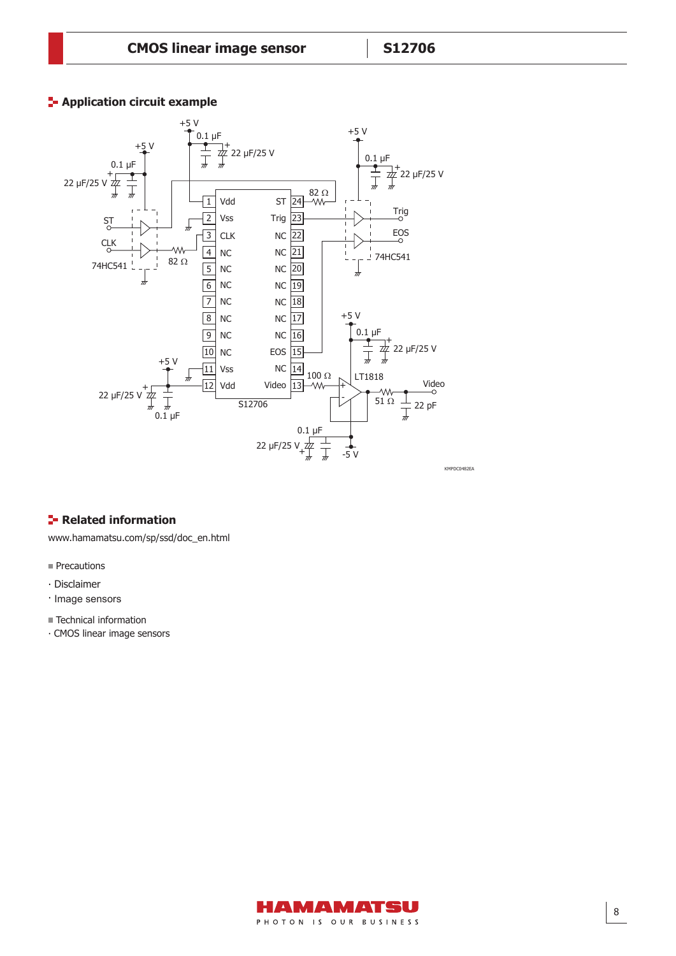# **E-** Application circuit example



# **F**-Related information

www.hamamatsu.com/sp/ssd/doc\_en.html

- Precautions
- ∙ Disclaimer
- ∙ Image sensors
- Technical information
- ⸱ CMOS linear image sensors